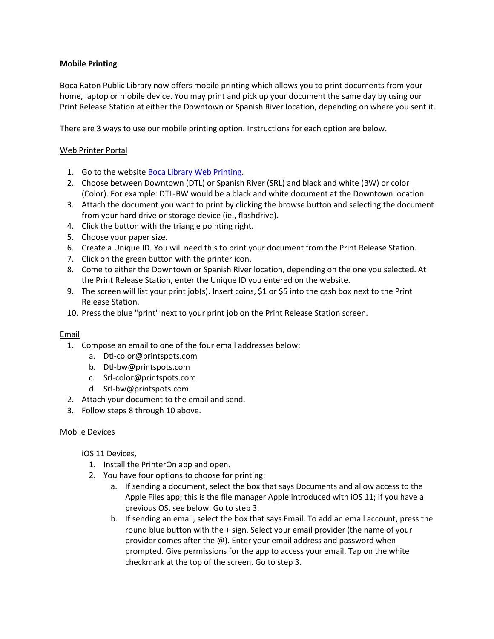# **Mobile Printing**

Boca Raton Public Library now offers mobile printing which allows you to print documents from your home, laptop or mobile device. You may print and pick up your document the same day by using our Print Release Station at either the Downtown or Spanish River location, depending on where you sent it.

There are 3 ways to use our mobile printing option. Instructions for each option are below.

# Web Printer Portal

- 1. Go to the websit[e Boca Library Web Printing.](https://www.printeron.net/system/printspot/interface/select_file.jsp?url=boca/library&protocolSwitched=true)
- 2. Choose between Downtown (DTL) or Spanish River (SRL) and black and white (BW) or color (Color). For example: DTL-BW would be a black and white document at the Downtown location.
- 3. Attach the document you want to print by clicking the browse button and selecting the document from your hard drive or storage device (ie., flashdrive).
- 4. Click the button with the triangle pointing right.
- 5. Choose your paper size.
- 6. Create a Unique ID. You will need this to print your document from the Print Release Station.
- 7. Click on the green button with the printer icon.
- 8. Come to either the Downtown or Spanish River location, depending on the one you selected. At the Print Release Station, enter the Unique ID you entered on the website.
- 9. The screen will list your print job(s). Insert coins, \$1 or \$5 into the cash box next to the Print Release Station.
- 10. Press the blue "print" next to your print job on the Print Release Station screen.

## Email

- 1. Compose an email to one of the four email addresses below:
	- a. Dtl-color@printspots.com
	- b. Dtl-bw@printspots.com
	- c. Srl-color@printspots.com
	- d. Srl-bw@printspots.com
- 2. Attach your document to the email and send.
- 3. Follow steps 8 through 10 above.

## Mobile Devices

## iOS 11 Devices,

- 1. Install the PrinterOn app and open.
- 2. You have four options to choose for printing:
	- a. If sending a document, select the box that says Documents and allow access to the Apple Files app; this is the file manager Apple introduced with iOS 11; if you have a previous OS, see below. Go to step 3.
	- b. If sending an email, select the box that says Email. To add an email account, press the round blue button with the + sign. Select your email provider (the name of your provider comes after the @). Enter your email address and password when prompted. Give permissions for the app to access your email. Tap on the white checkmark at the top of the screen. Go to step 3.